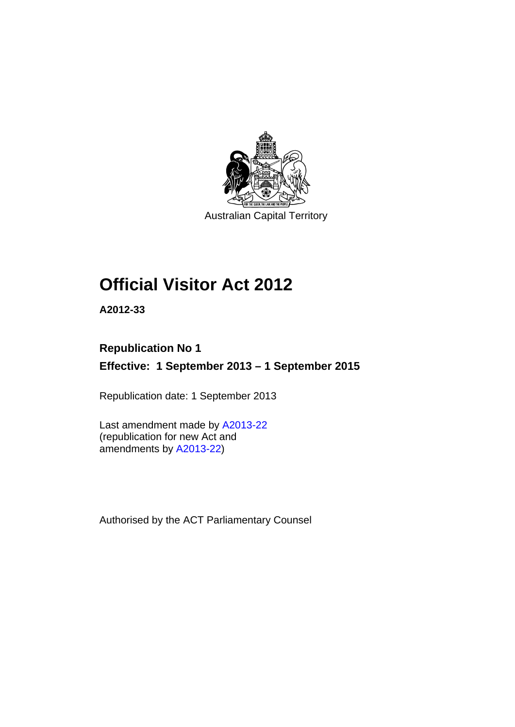

Australian Capital Territory

# **Official Visitor Act 2012**

**A2012-33** 

# **Republication No 1**

**Effective: 1 September 2013 – 1 September 2015** 

Republication date: 1 September 2013

Last amendment made by [A2013-22](http://www.legislation.act.gov.au/a/2013-22/default.asp) (republication for new Act and amendments by [A2013-22\)](http://www.legislation.act.gov.au/a/2013-22/default.asp)

Authorised by the ACT Parliamentary Counsel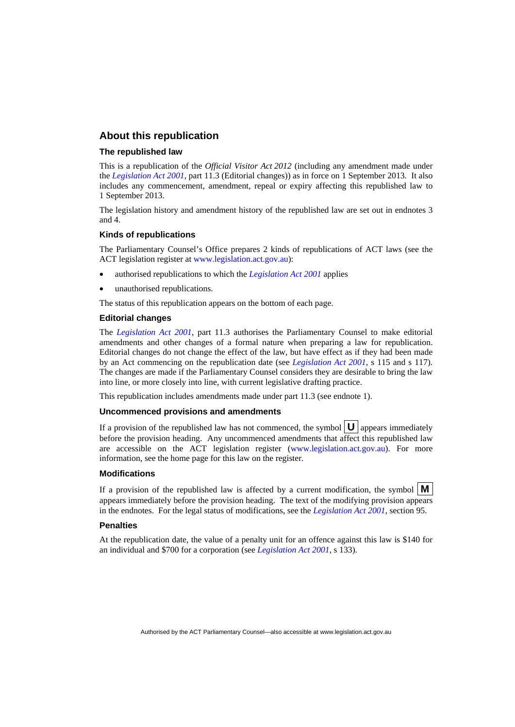#### **About this republication**

#### **The republished law**

This is a republication of the *Official Visitor Act 2012* (including any amendment made under the *[Legislation Act 2001](http://www.legislation.act.gov.au/a/2001-14)*, part 11.3 (Editorial changes)) as in force on 1 September 2013*.* It also includes any commencement, amendment, repeal or expiry affecting this republished law to 1 September 2013.

The legislation history and amendment history of the republished law are set out in endnotes 3 and 4.

#### **Kinds of republications**

The Parliamentary Counsel's Office prepares 2 kinds of republications of ACT laws (see the ACT legislation register at [www.legislation.act.gov.au](http://www.legislation.act.gov.au/)):

- authorised republications to which the *[Legislation Act 2001](http://www.legislation.act.gov.au/a/2001-14)* applies
- unauthorised republications.

The status of this republication appears on the bottom of each page.

#### **Editorial changes**

The *[Legislation Act 2001](http://www.legislation.act.gov.au/a/2001-14)*, part 11.3 authorises the Parliamentary Counsel to make editorial amendments and other changes of a formal nature when preparing a law for republication. Editorial changes do not change the effect of the law, but have effect as if they had been made by an Act commencing on the republication date (see *[Legislation Act 2001](http://www.legislation.act.gov.au/a/2001-14)*, s 115 and s 117). The changes are made if the Parliamentary Counsel considers they are desirable to bring the law into line, or more closely into line, with current legislative drafting practice.

This republication includes amendments made under part 11.3 (see endnote 1).

#### **Uncommenced provisions and amendments**

If a provision of the republished law has not commenced, the symbol  $\mathbf{U}$  appears immediately before the provision heading. Any uncommenced amendments that affect this republished law are accessible on the ACT legislation register [\(www.legislation.act.gov.au\)](http://www.legislation.act.gov.au/). For more information, see the home page for this law on the register.

#### **Modifications**

If a provision of the republished law is affected by a current modification, the symbol  $\mathbf{M}$ appears immediately before the provision heading. The text of the modifying provision appears in the endnotes. For the legal status of modifications, see the *[Legislation Act 2001](http://www.legislation.act.gov.au/a/2001-14)*, section 95.

#### **Penalties**

At the republication date, the value of a penalty unit for an offence against this law is \$140 for an individual and \$700 for a corporation (see *[Legislation Act 2001](http://www.legislation.act.gov.au/a/2001-14)*, s 133).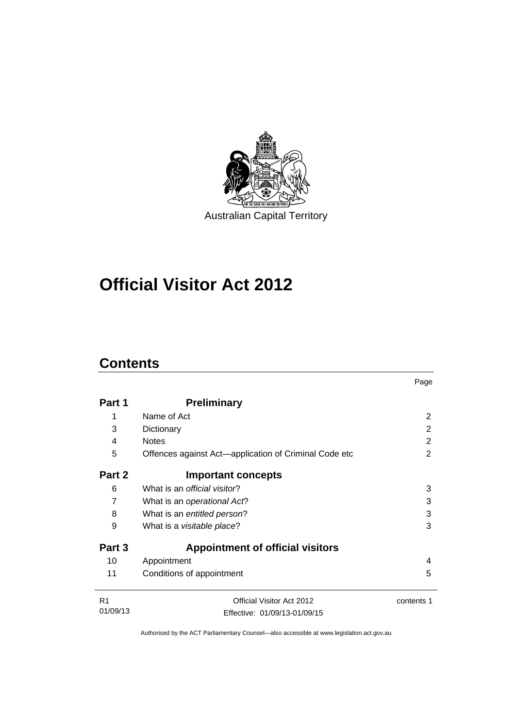

# **Official Visitor Act 2012**

## **Contents**

|                |                                                       | Page       |  |
|----------------|-------------------------------------------------------|------------|--|
| Part 1         | <b>Preliminary</b>                                    |            |  |
| 1              | Name of Act                                           | 2          |  |
| 3              | Dictionary                                            | 2          |  |
| 4              | <b>Notes</b>                                          | 2          |  |
| 5              | Offences against Act-application of Criminal Code etc | 2          |  |
| Part 2         | <b>Important concepts</b>                             |            |  |
| 6              | What is an <i>official visitor</i> ?                  | 3          |  |
| 7              | What is an operational Act?                           | 3          |  |
| 8              | What is an entitled person?                           | 3          |  |
| 9              | 3<br>What is a visitable place?                       |            |  |
| Part 3         | <b>Appointment of official visitors</b>               |            |  |
| 10             | Appointment                                           | 4          |  |
| 11             | Conditions of appointment                             | 5          |  |
| R <sub>1</sub> | Official Visitor Act 2012                             | contents 1 |  |
| 01/09/13       | Effective: 01/09/13-01/09/15                          |            |  |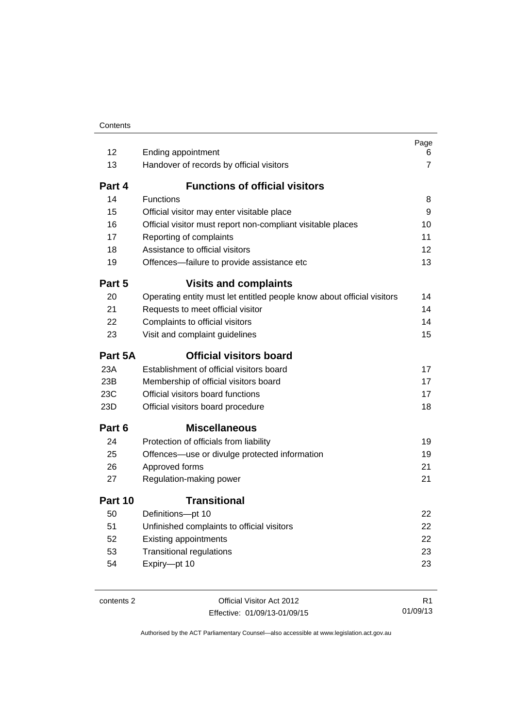| 12         | Ending appointment                                                     | Page<br>6      |
|------------|------------------------------------------------------------------------|----------------|
| 13         | Handover of records by official visitors                               | $\overline{7}$ |
| Part 4     | <b>Functions of official visitors</b>                                  |                |
| 14         | <b>Functions</b>                                                       | 8              |
| 15         | Official visitor may enter visitable place                             | 9              |
| 16         | Official visitor must report non-compliant visitable places            | 10             |
| 17         | Reporting of complaints                                                | 11             |
| 18         | Assistance to official visitors                                        | 12             |
| 19         | Offences-failure to provide assistance etc                             | 13             |
| Part 5     | <b>Visits and complaints</b>                                           |                |
| 20         | Operating entity must let entitled people know about official visitors | 14             |
| 21         | Requests to meet official visitor                                      | 14             |
| 22         | Complaints to official visitors                                        | 14             |
| 23         | Visit and complaint guidelines                                         | 15             |
| Part 5A    | <b>Official visitors board</b>                                         |                |
| 23A        | Establishment of official visitors board                               | 17             |
| 23B        | Membership of official visitors board                                  | 17             |
| 23C        | Official visitors board functions                                      | 17             |
| 23D        | Official visitors board procedure                                      | 18             |
| Part 6     | <b>Miscellaneous</b>                                                   |                |
| 24         | Protection of officials from liability                                 | 19             |
| 25         | Offences-use or divulge protected information                          | 19             |
| 26         | Approved forms                                                         | 21             |
| 27         | Regulation-making power                                                | 21             |
| Part 10    | <b>Transitional</b>                                                    |                |
| 50         | Definitions-pt 10                                                      | 22             |
| 51         | Unfinished complaints to official visitors                             | 22             |
| 52         | <b>Existing appointments</b>                                           | 22             |
| 53         | <b>Transitional regulations</b>                                        | 23             |
| 54         | Expiry-pt 10                                                           | 23             |
|            |                                                                        |                |
| contents 2 | Official Visitor Act 2012                                              | R <sub>1</sub> |

Effective: 01/09/13-01/09/15

R1 01/09/13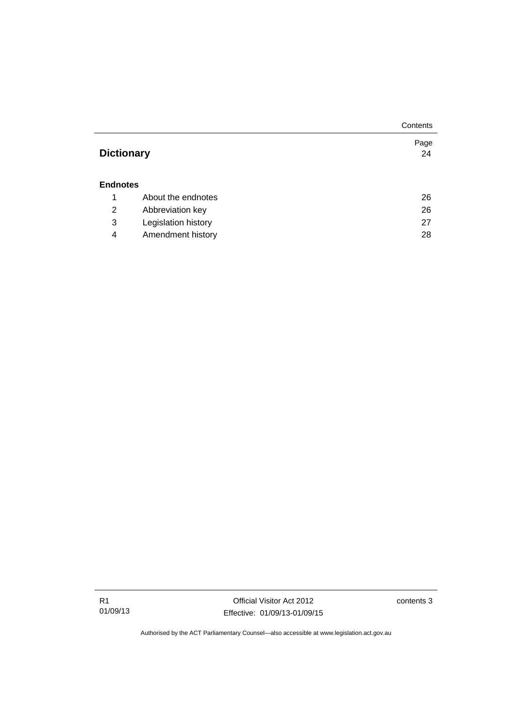|                   |                     | Contents   |
|-------------------|---------------------|------------|
| <b>Dictionary</b> |                     | Page<br>24 |
| <b>Endnotes</b>   |                     |            |
| 1                 | About the endnotes  | 26         |
| 2                 | Abbreviation key    | 26         |
| 3                 | Legislation history | 27         |
| 4                 | Amendment history   | 28         |

R1 01/09/13

Official Visitor Act 2012 Effective: 01/09/13-01/09/15 contents 3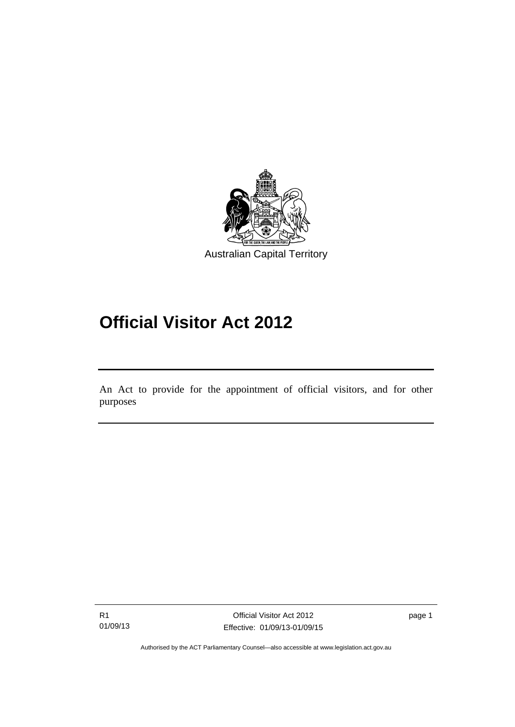

# **Official Visitor Act 2012**

An Act to provide for the appointment of official visitors, and for other purposes

Ī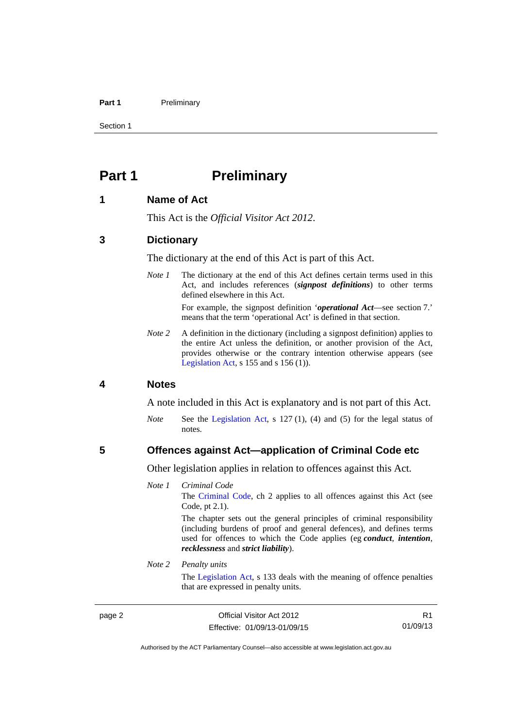#### Part 1 **Preliminary**

Section 1

## <span id="page-7-0"></span>**Part 1** Preliminary

#### <span id="page-7-1"></span>**1 Name of Act**

This Act is the *Official Visitor Act 2012*.

#### <span id="page-7-2"></span>**3 Dictionary**

The dictionary at the end of this Act is part of this Act.

*Note 1* The dictionary at the end of this Act defines certain terms used in this Act, and includes references (*signpost definitions*) to other terms defined elsewhere in this Act. For example, the signpost definition '*operational Act*—see section 7.'

means that the term 'operational Act' is defined in that section.

*Note* 2 A definition in the dictionary (including a signpost definition) applies to the entire Act unless the definition, or another provision of the Act, provides otherwise or the contrary intention otherwise appears (see [Legislation Act,](http://www.legislation.act.gov.au/a/2001-14)  $s$  155 and  $s$  156 (1)).

#### <span id="page-7-3"></span>**4 Notes**

A note included in this Act is explanatory and is not part of this Act.

*Note* See the [Legislation Act,](http://www.legislation.act.gov.au/a/2001-14) s 127 (1), (4) and (5) for the legal status of notes.

#### <span id="page-7-4"></span>**5 Offences against Act—application of Criminal Code etc**

Other legislation applies in relation to offences against this Act.

#### *Note 1 Criminal Code*

The [Criminal Code](http://www.legislation.act.gov.au/a/2002-51), ch 2 applies to all offences against this Act (see Code, pt 2.1).

The chapter sets out the general principles of criminal responsibility (including burdens of proof and general defences), and defines terms used for offences to which the Code applies (eg *conduct*, *intention*, *recklessness* and *strict liability*).

#### *Note 2 Penalty units*

The [Legislation Act](http://www.legislation.act.gov.au/a/2001-14), s 133 deals with the meaning of offence penalties that are expressed in penalty units.

R1 01/09/13

Authorised by the ACT Parliamentary Counsel—also accessible at www.legislation.act.gov.au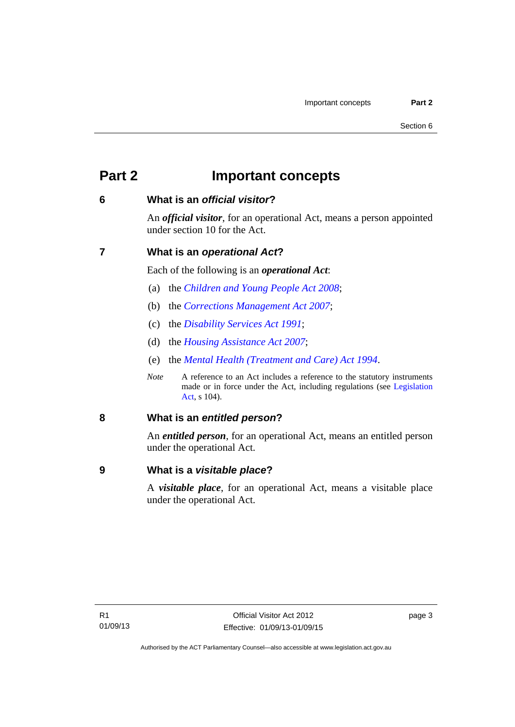## <span id="page-8-0"></span>**Part 2 Important concepts**

## <span id="page-8-1"></span>**6 What is an** *official visitor***?**

An *official visitor*, for an operational Act, means a person appointed under section 10 for the Act.

## <span id="page-8-2"></span>**7 What is an** *operational Act***?**

Each of the following is an *operational Act*:

- (a) the *[Children and Young People Act 2008](http://www.legislation.act.gov.au/a/2008-19)*;
- (b) the *[Corrections Management Act 2007](http://www.legislation.act.gov.au/a/2007-15)*;
- (c) the *[Disability Services Act 1991](http://www.legislation.act.gov.au/a/1991-98)*;
- (d) the *[Housing Assistance Act 2007](http://www.legislation.act.gov.au/a/2007-8)*;
- (e) the *[Mental Health \(Treatment and Care\) Act 1994](http://www.legislation.act.gov.au/a/1994-44)*.
- *Note* A reference to an Act includes a reference to the statutory instruments made or in force under the Act, including regulations (see [Legislation](http://www.legislation.act.gov.au/a/2001-14)  [Act](http://www.legislation.act.gov.au/a/2001-14), s 104).

## <span id="page-8-3"></span>**8 What is an** *entitled person***?**

An *entitled person*, for an operational Act, means an entitled person under the operational Act.

## <span id="page-8-4"></span>**9 What is a** *visitable place***?**

A *visitable place*, for an operational Act, means a visitable place under the operational Act.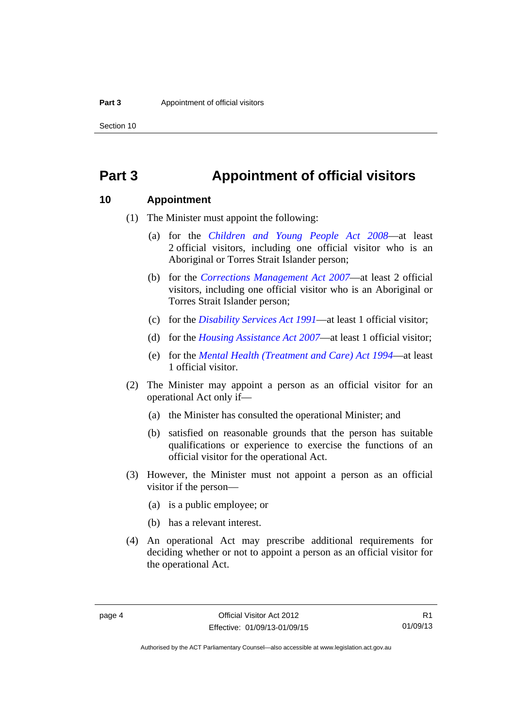Section 10

## <span id="page-9-0"></span>**Part 3 Appointment of official visitors**

#### <span id="page-9-1"></span>**10 Appointment**

- (1) The Minister must appoint the following:
	- (a) for the *[Children and Young People Act 2008](http://www.legislation.act.gov.au/a/2008-19)*—at least 2 official visitors, including one official visitor who is an Aboriginal or Torres Strait Islander person;
	- (b) for the *[Corrections Management Act 2007](http://www.legislation.act.gov.au/a/2007-15)*—at least 2 official visitors, including one official visitor who is an Aboriginal or Torres Strait Islander person;
	- (c) for the *[Disability Services Act 1991](http://www.legislation.act.gov.au/a/1991-98)*—at least 1 official visitor;
	- (d) for the *[Housing Assistance Act 2007](http://www.legislation.act.gov.au/a/2007-8)*—at least 1 official visitor;
	- (e) for the *[Mental Health \(Treatment and Care\) Act 1994](http://www.legislation.act.gov.au/a/1994-44)*—at least 1 official visitor.
- (2) The Minister may appoint a person as an official visitor for an operational Act only if—
	- (a) the Minister has consulted the operational Minister; and
	- (b) satisfied on reasonable grounds that the person has suitable qualifications or experience to exercise the functions of an official visitor for the operational Act.
- (3) However, the Minister must not appoint a person as an official visitor if the person—
	- (a) is a public employee; or
	- (b) has a relevant interest.
- (4) An operational Act may prescribe additional requirements for deciding whether or not to appoint a person as an official visitor for the operational Act.

Authorised by the ACT Parliamentary Counsel—also accessible at www.legislation.act.gov.au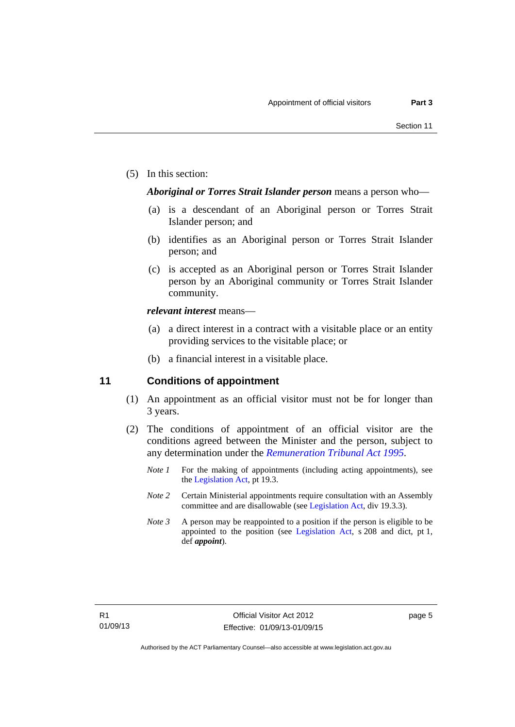(5) In this section:

#### *Aboriginal or Torres Strait Islander person* means a person who—

- (a) is a descendant of an Aboriginal person or Torres Strait Islander person; and
- (b) identifies as an Aboriginal person or Torres Strait Islander person; and
- (c) is accepted as an Aboriginal person or Torres Strait Islander person by an Aboriginal community or Torres Strait Islander community.

#### *relevant interest* means—

- (a) a direct interest in a contract with a visitable place or an entity providing services to the visitable place; or
- (b) a financial interest in a visitable place.

### <span id="page-10-0"></span>**11 Conditions of appointment**

- (1) An appointment as an official visitor must not be for longer than 3 years.
- (2) The conditions of appointment of an official visitor are the conditions agreed between the Minister and the person, subject to any determination under the *[Remuneration Tribunal Act 1995](http://www.legislation.act.gov.au/a/1995-55)*.
	- *Note 1* For the making of appointments (including acting appointments), see the [Legislation Act,](http://www.legislation.act.gov.au/a/2001-14) pt 19.3.
	- *Note 2* Certain Ministerial appointments require consultation with an Assembly committee and are disallowable (see [Legislation Act,](http://www.legislation.act.gov.au/a/2001-14) div 19.3.3).
	- *Note 3* A person may be reappointed to a position if the person is eligible to be appointed to the position (see [Legislation Act,](http://www.legislation.act.gov.au/a/2001-14) s 208 and dict, pt 1, def *appoint*).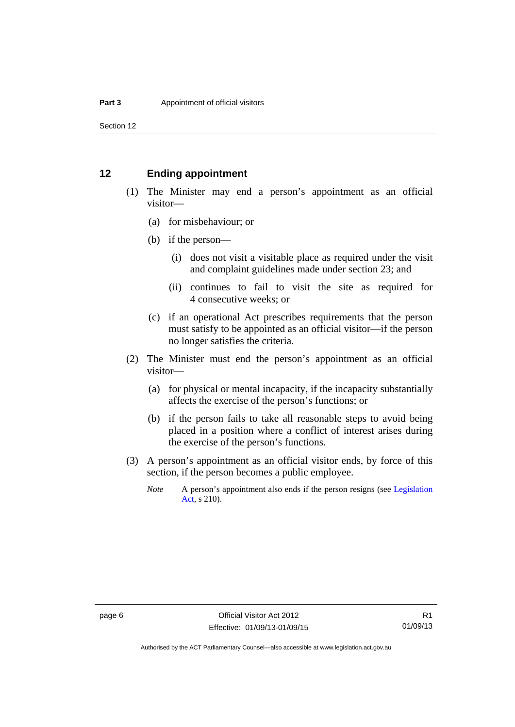Section 12

#### <span id="page-11-0"></span>**12 Ending appointment**

- (1) The Minister may end a person's appointment as an official visitor—
	- (a) for misbehaviour; or
	- (b) if the person—
		- (i) does not visit a visitable place as required under the visit and complaint guidelines made under section 23; and
		- (ii) continues to fail to visit the site as required for 4 consecutive weeks; or
	- (c) if an operational Act prescribes requirements that the person must satisfy to be appointed as an official visitor—if the person no longer satisfies the criteria.
- (2) The Minister must end the person's appointment as an official visitor—
	- (a) for physical or mental incapacity, if the incapacity substantially affects the exercise of the person's functions; or
	- (b) if the person fails to take all reasonable steps to avoid being placed in a position where a conflict of interest arises during the exercise of the person's functions.
- (3) A person's appointment as an official visitor ends, by force of this section, if the person becomes a public employee.
	- *Note* A person's appointment also ends if the person resigns (see Legislation [Act](http://www.legislation.act.gov.au/a/2001-14), s 210).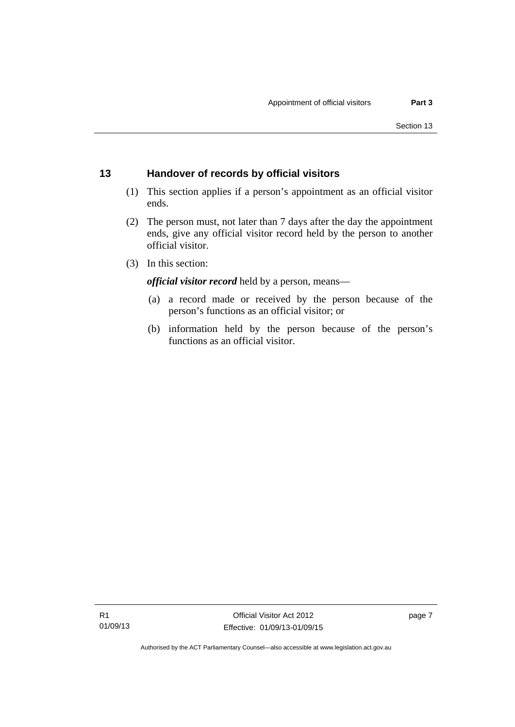## <span id="page-12-0"></span>**13 Handover of records by official visitors**

- (1) This section applies if a person's appointment as an official visitor ends.
- (2) The person must, not later than 7 days after the day the appointment ends, give any official visitor record held by the person to another official visitor.
- (3) In this section:

*official visitor record* held by a person, means—

- (a) a record made or received by the person because of the person's functions as an official visitor; or
- (b) information held by the person because of the person's functions as an official visitor.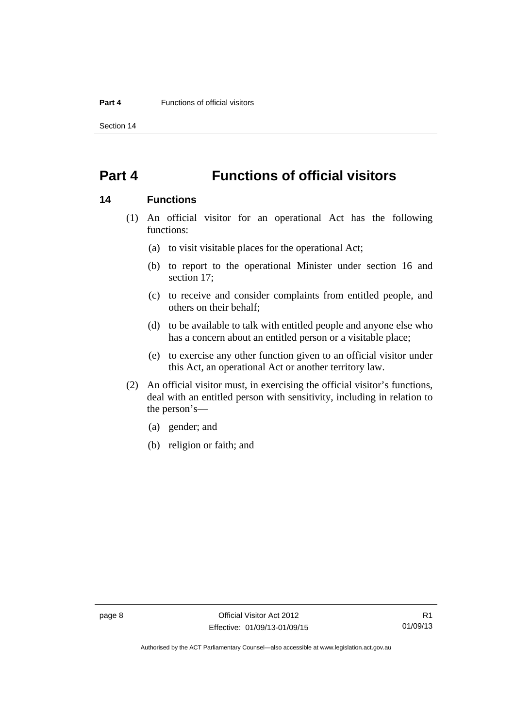Section 14

## <span id="page-13-0"></span>**Part 4 Functions of official visitors**

#### <span id="page-13-1"></span>**14 Functions**

- (1) An official visitor for an operational Act has the following functions:
	- (a) to visit visitable places for the operational Act;
	- (b) to report to the operational Minister under section 16 and section 17;
	- (c) to receive and consider complaints from entitled people, and others on their behalf;
	- (d) to be available to talk with entitled people and anyone else who has a concern about an entitled person or a visitable place;
	- (e) to exercise any other function given to an official visitor under this Act, an operational Act or another territory law.
- (2) An official visitor must, in exercising the official visitor's functions, deal with an entitled person with sensitivity, including in relation to the person's—
	- (a) gender; and
	- (b) religion or faith; and

Authorised by the ACT Parliamentary Counsel—also accessible at www.legislation.act.gov.au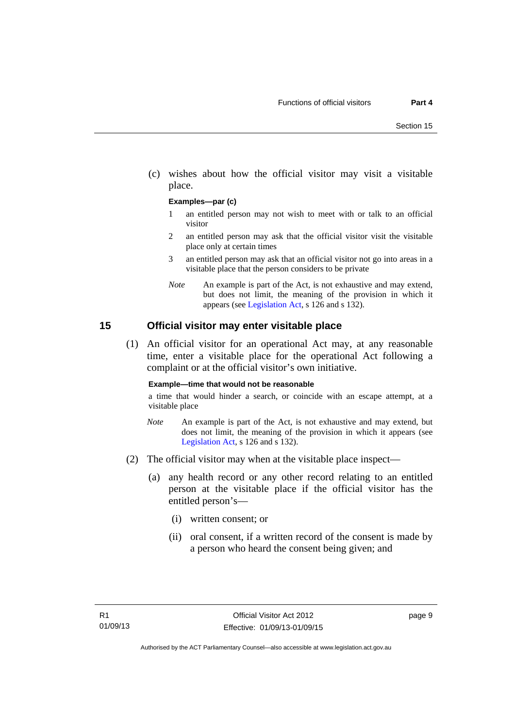(c) wishes about how the official visitor may visit a visitable place.

#### **Examples—par (c)**

- 1 an entitled person may not wish to meet with or talk to an official visitor
- 2 an entitled person may ask that the official visitor visit the visitable place only at certain times
- 3 an entitled person may ask that an official visitor not go into areas in a visitable place that the person considers to be private
- *Note* An example is part of the Act, is not exhaustive and may extend, but does not limit, the meaning of the provision in which it appears (see [Legislation Act,](http://www.legislation.act.gov.au/a/2001-14) s 126 and s 132).

#### <span id="page-14-0"></span>**15 Official visitor may enter visitable place**

 (1) An official visitor for an operational Act may, at any reasonable time, enter a visitable place for the operational Act following a complaint or at the official visitor's own initiative.

#### **Example—time that would not be reasonable**

a time that would hinder a search, or coincide with an escape attempt, at a visitable place

- *Note* An example is part of the Act, is not exhaustive and may extend, but does not limit, the meaning of the provision in which it appears (see [Legislation Act,](http://www.legislation.act.gov.au/a/2001-14) s 126 and s 132).
- (2) The official visitor may when at the visitable place inspect—
	- (a) any health record or any other record relating to an entitled person at the visitable place if the official visitor has the entitled person's—
		- (i) written consent; or
		- (ii) oral consent, if a written record of the consent is made by a person who heard the consent being given; and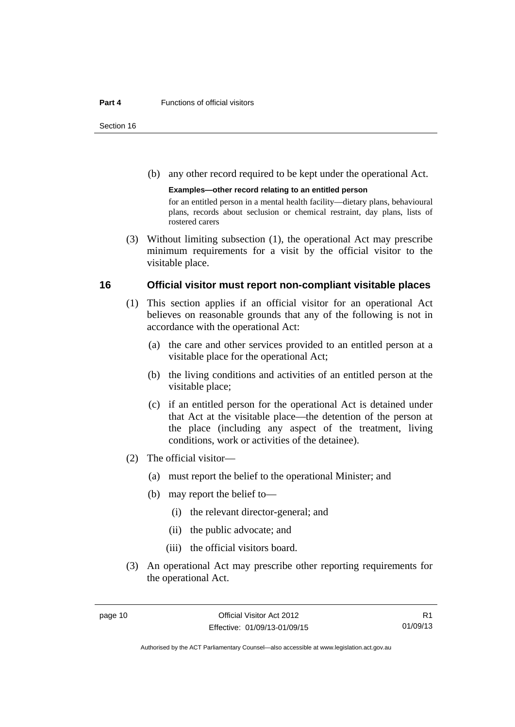#### **Part 4 Functions of official visitors**

Section 16

(b) any other record required to be kept under the operational Act.

**Examples—other record relating to an entitled person**  for an entitled person in a mental health facility—dietary plans, behavioural plans, records about seclusion or chemical restraint, day plans, lists of rostered carers

 (3) Without limiting subsection (1), the operational Act may prescribe minimum requirements for a visit by the official visitor to the visitable place.

### <span id="page-15-0"></span>**16 Official visitor must report non-compliant visitable places**

- (1) This section applies if an official visitor for an operational Act believes on reasonable grounds that any of the following is not in accordance with the operational Act:
	- (a) the care and other services provided to an entitled person at a visitable place for the operational Act;
	- (b) the living conditions and activities of an entitled person at the visitable place;
	- (c) if an entitled person for the operational Act is detained under that Act at the visitable place—the detention of the person at the place (including any aspect of the treatment, living conditions, work or activities of the detainee).
- (2) The official visitor—
	- (a) must report the belief to the operational Minister; and
	- (b) may report the belief to—
		- (i) the relevant director-general; and
		- (ii) the public advocate; and
		- (iii) the official visitors board.
- (3) An operational Act may prescribe other reporting requirements for the operational Act.

Authorised by the ACT Parliamentary Counsel—also accessible at www.legislation.act.gov.au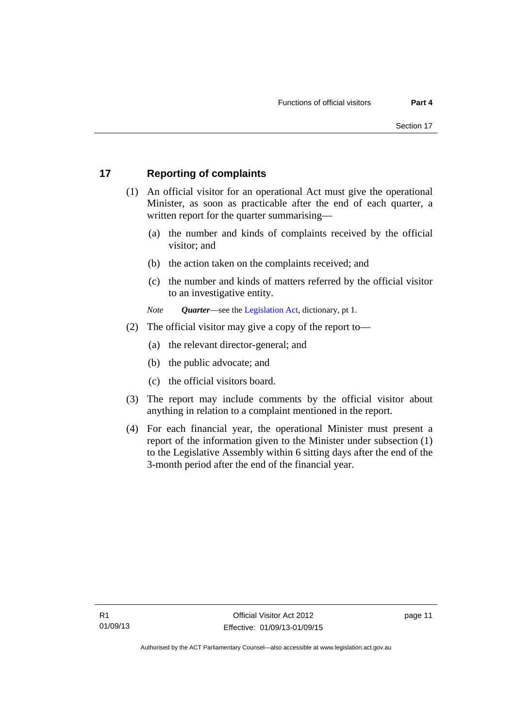## <span id="page-16-0"></span>**17 Reporting of complaints**

- (1) An official visitor for an operational Act must give the operational Minister, as soon as practicable after the end of each quarter, a written report for the quarter summarising—
	- (a) the number and kinds of complaints received by the official visitor; and
	- (b) the action taken on the complaints received; and
	- (c) the number and kinds of matters referred by the official visitor to an investigative entity.
	- *Note Quarter*—see the [Legislation Act,](http://www.legislation.act.gov.au/a/2001-14) dictionary, pt 1.
- (2) The official visitor may give a copy of the report to—
	- (a) the relevant director-general; and
	- (b) the public advocate; and
	- (c) the official visitors board.
- (3) The report may include comments by the official visitor about anything in relation to a complaint mentioned in the report.
- (4) For each financial year, the operational Minister must present a report of the information given to the Minister under subsection (1) to the Legislative Assembly within 6 sitting days after the end of the 3-month period after the end of the financial year.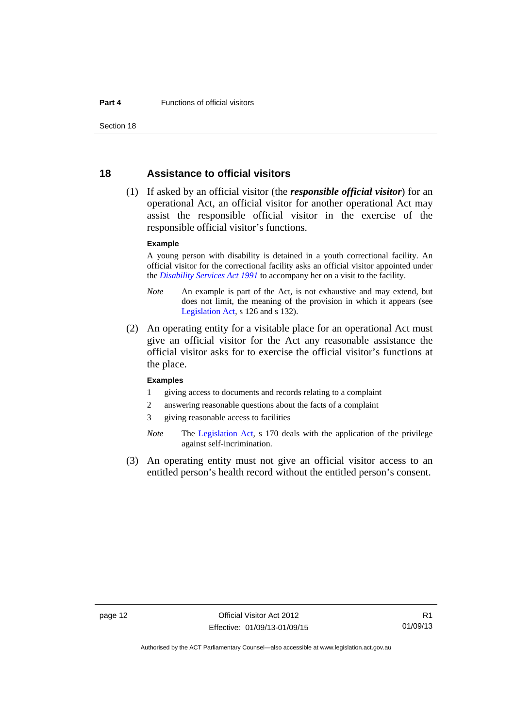Section 18

### <span id="page-17-0"></span>**18 Assistance to official visitors**

 (1) If asked by an official visitor (the *responsible official visitor*) for an operational Act, an official visitor for another operational Act may assist the responsible official visitor in the exercise of the responsible official visitor's functions.

#### **Example**

A young person with disability is detained in a youth correctional facility. An official visitor for the correctional facility asks an official visitor appointed under the *[Disability Services Act 1991](http://www.legislation.act.gov.au/a/1991-98)* to accompany her on a visit to the facility.

- *Note* An example is part of the Act, is not exhaustive and may extend, but does not limit, the meaning of the provision in which it appears (see [Legislation Act,](http://www.legislation.act.gov.au/a/2001-14) s 126 and s 132).
- (2) An operating entity for a visitable place for an operational Act must give an official visitor for the Act any reasonable assistance the official visitor asks for to exercise the official visitor's functions at the place.

#### **Examples**

- 1 giving access to documents and records relating to a complaint
- 2 answering reasonable questions about the facts of a complaint
- 3 giving reasonable access to facilities
- *Note* The [Legislation Act,](http://www.legislation.act.gov.au/a/2001-14) s 170 deals with the application of the privilege against self-incrimination.
- (3) An operating entity must not give an official visitor access to an entitled person's health record without the entitled person's consent.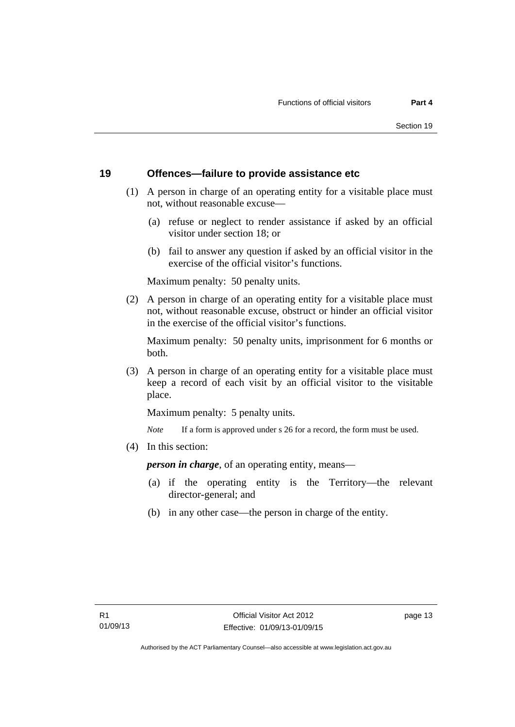#### <span id="page-18-0"></span>**19 Offences—failure to provide assistance etc**

- (1) A person in charge of an operating entity for a visitable place must not, without reasonable excuse—
	- (a) refuse or neglect to render assistance if asked by an official visitor under section 18; or
	- (b) fail to answer any question if asked by an official visitor in the exercise of the official visitor's functions.

Maximum penalty: 50 penalty units.

 (2) A person in charge of an operating entity for a visitable place must not, without reasonable excuse, obstruct or hinder an official visitor in the exercise of the official visitor's functions.

Maximum penalty: 50 penalty units, imprisonment for 6 months or both.

 (3) A person in charge of an operating entity for a visitable place must keep a record of each visit by an official visitor to the visitable place.

Maximum penalty: 5 penalty units.

*Note* If a form is approved under s 26 for a record, the form must be used.

(4) In this section:

*person in charge*, of an operating entity, means—

- (a) if the operating entity is the Territory—the relevant director-general; and
- (b) in any other case—the person in charge of the entity.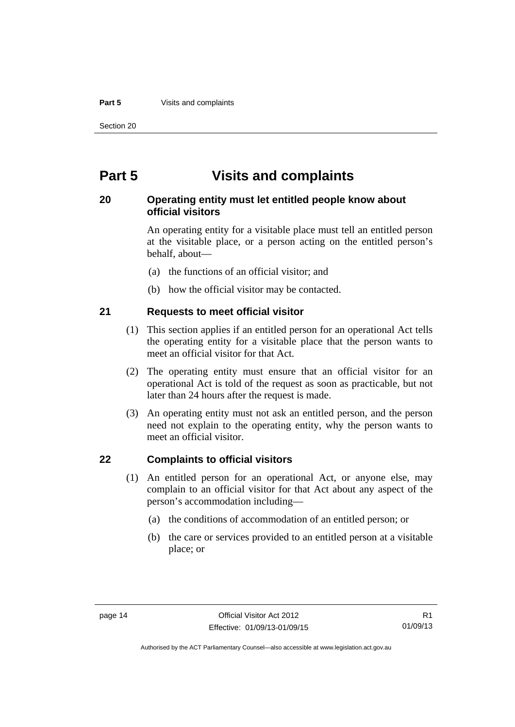#### **Part 5** Visits and complaints

Section 20

## <span id="page-19-0"></span>**Part 5 Visits and complaints**

## <span id="page-19-1"></span>**20 Operating entity must let entitled people know about official visitors**

An operating entity for a visitable place must tell an entitled person at the visitable place, or a person acting on the entitled person's behalf, about—

- (a) the functions of an official visitor; and
- (b) how the official visitor may be contacted.

#### <span id="page-19-2"></span>**21 Requests to meet official visitor**

- (1) This section applies if an entitled person for an operational Act tells the operating entity for a visitable place that the person wants to meet an official visitor for that Act.
- (2) The operating entity must ensure that an official visitor for an operational Act is told of the request as soon as practicable, but not later than 24 hours after the request is made.
- (3) An operating entity must not ask an entitled person, and the person need not explain to the operating entity, why the person wants to meet an official visitor.

## <span id="page-19-3"></span>**22 Complaints to official visitors**

- (1) An entitled person for an operational Act, or anyone else, may complain to an official visitor for that Act about any aspect of the person's accommodation including—
	- (a) the conditions of accommodation of an entitled person; or
	- (b) the care or services provided to an entitled person at a visitable place; or

Authorised by the ACT Parliamentary Counsel—also accessible at www.legislation.act.gov.au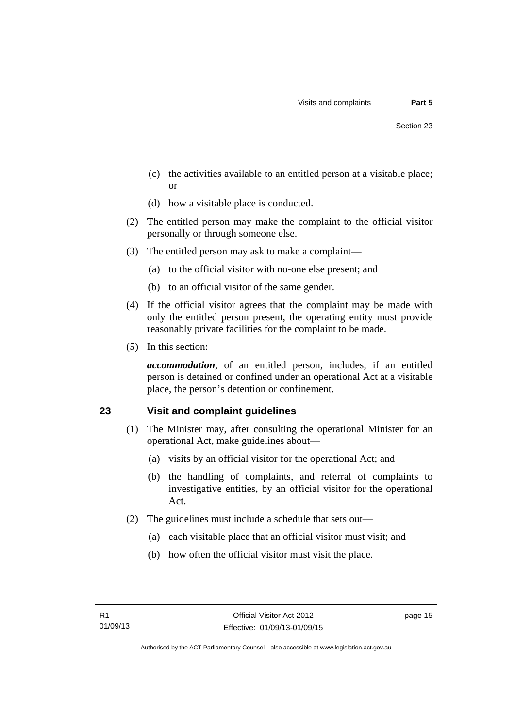- (c) the activities available to an entitled person at a visitable place; or
- (d) how a visitable place is conducted.
- (2) The entitled person may make the complaint to the official visitor personally or through someone else.
- (3) The entitled person may ask to make a complaint—
	- (a) to the official visitor with no-one else present; and
	- (b) to an official visitor of the same gender.
- (4) If the official visitor agrees that the complaint may be made with only the entitled person present, the operating entity must provide reasonably private facilities for the complaint to be made.
- (5) In this section:

*accommodation*, of an entitled person, includes, if an entitled person is detained or confined under an operational Act at a visitable place, the person's detention or confinement.

## <span id="page-20-0"></span>**23 Visit and complaint guidelines**

- (1) The Minister may, after consulting the operational Minister for an operational Act, make guidelines about—
	- (a) visits by an official visitor for the operational Act; and
	- (b) the handling of complaints, and referral of complaints to investigative entities, by an official visitor for the operational Act.
- (2) The guidelines must include a schedule that sets out—
	- (a) each visitable place that an official visitor must visit; and
	- (b) how often the official visitor must visit the place.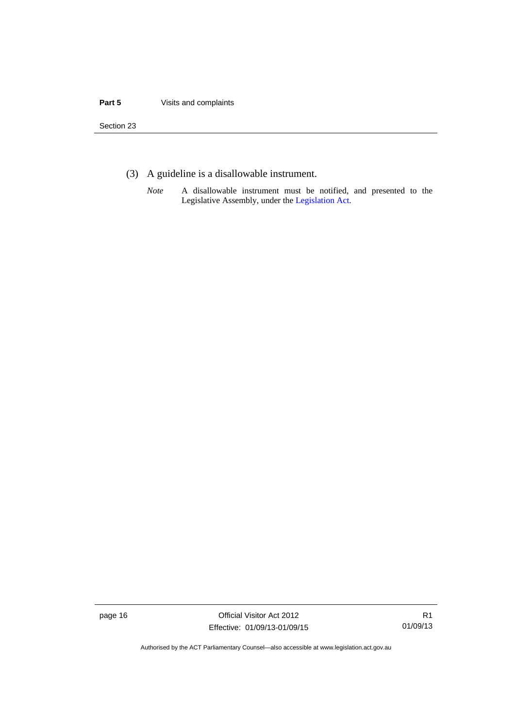#### **Part 5** Visits and complaints

Section 23

- (3) A guideline is a disallowable instrument.
	- *Note* A disallowable instrument must be notified, and presented to the Legislative Assembly, under the [Legislation Act.](http://www.legislation.act.gov.au/a/2001-14)

page 16 Official Visitor Act 2012 Effective: 01/09/13-01/09/15

R1 01/09/13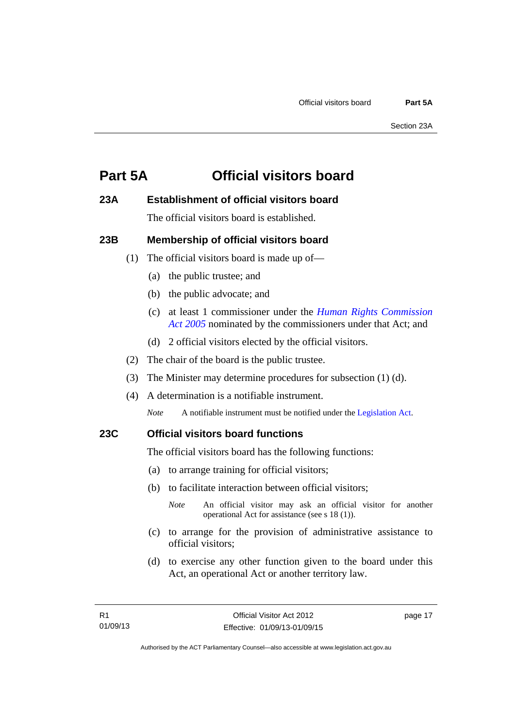## <span id="page-22-0"></span>**Part 5A Official visitors board**

## <span id="page-22-1"></span>**23A Establishment of official visitors board**

The official visitors board is established.

## <span id="page-22-2"></span>**23B Membership of official visitors board**

- (1) The official visitors board is made up of—
	- (a) the public trustee; and
	- (b) the public advocate; and
	- (c) at least 1 commissioner under the *[Human Rights Commission](http://www.legislation.act.gov.au/a/2005-40)  [Act 2005](http://www.legislation.act.gov.au/a/2005-40)* nominated by the commissioners under that Act; and
	- (d) 2 official visitors elected by the official visitors.
- (2) The chair of the board is the public trustee.
- (3) The Minister may determine procedures for subsection (1) (d).
- (4) A determination is a notifiable instrument.

*Note* A notifiable instrument must be notified under the [Legislation Act](http://www.legislation.act.gov.au/a/2001-14).

### <span id="page-22-3"></span>**23C Official visitors board functions**

The official visitors board has the following functions:

- (a) to arrange training for official visitors;
- (b) to facilitate interaction between official visitors;
	- *Note* An official visitor may ask an official visitor for another operational Act for assistance (see s 18 (1)).
- (c) to arrange for the provision of administrative assistance to official visitors;
- (d) to exercise any other function given to the board under this Act, an operational Act or another territory law.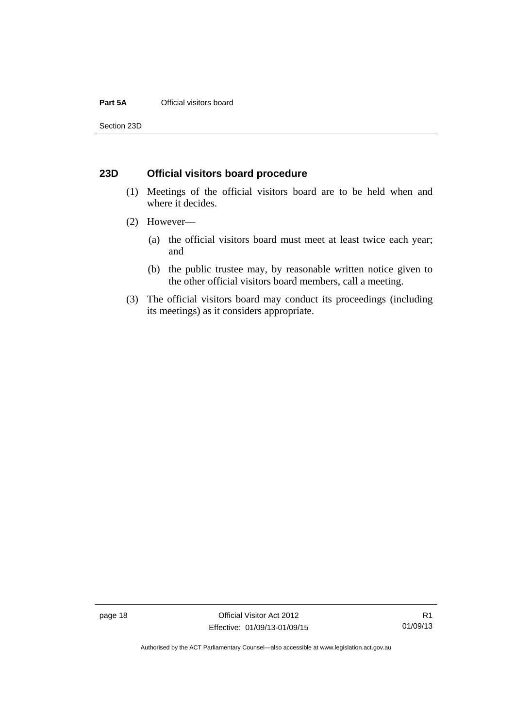#### **Part 5A** Official visitors board

Section 23D

#### <span id="page-23-0"></span>**23D Official visitors board procedure**

- (1) Meetings of the official visitors board are to be held when and where it decides.
- (2) However—
	- (a) the official visitors board must meet at least twice each year; and
	- (b) the public trustee may, by reasonable written notice given to the other official visitors board members, call a meeting.
- (3) The official visitors board may conduct its proceedings (including its meetings) as it considers appropriate.

page 18 Official Visitor Act 2012 Effective: 01/09/13-01/09/15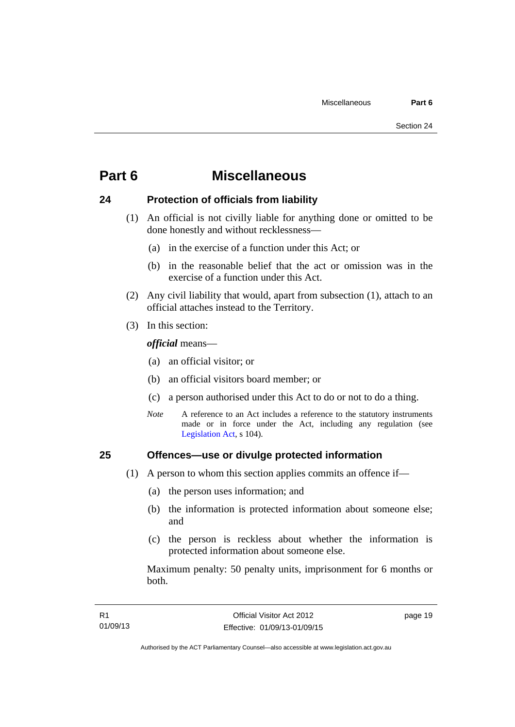## <span id="page-24-0"></span>**Part 6 Miscellaneous**

## <span id="page-24-1"></span>**24 Protection of officials from liability**

- (1) An official is not civilly liable for anything done or omitted to be done honestly and without recklessness—
	- (a) in the exercise of a function under this Act; or
	- (b) in the reasonable belief that the act or omission was in the exercise of a function under this Act.
- (2) Any civil liability that would, apart from subsection (1), attach to an official attaches instead to the Territory.
- (3) In this section:

*official* means—

- (a) an official visitor; or
- (b) an official visitors board member; or
- (c) a person authorised under this Act to do or not to do a thing.
- *Note* A reference to an Act includes a reference to the statutory instruments made or in force under the Act, including any regulation (see [Legislation Act,](http://www.legislation.act.gov.au/a/2001-14) s 104).

### <span id="page-24-2"></span>**25 Offences—use or divulge protected information**

- (1) A person to whom this section applies commits an offence if—
	- (a) the person uses information; and
	- (b) the information is protected information about someone else; and
	- (c) the person is reckless about whether the information is protected information about someone else.

Maximum penalty: 50 penalty units, imprisonment for 6 months or both.

page 19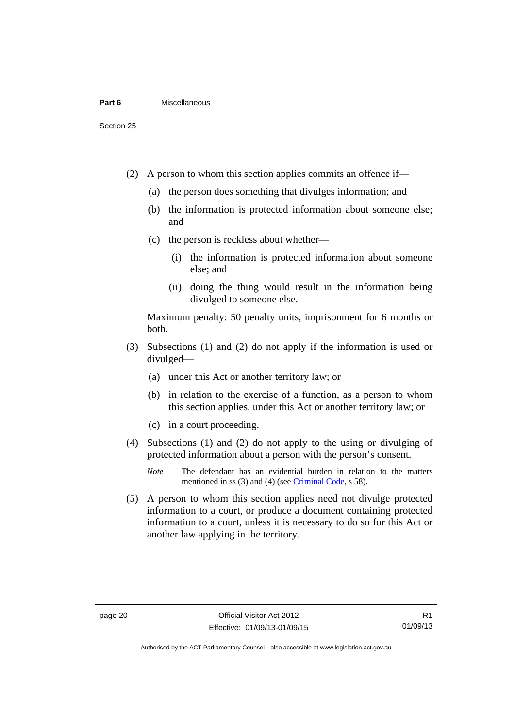Section 25

- (2) A person to whom this section applies commits an offence if—
	- (a) the person does something that divulges information; and
	- (b) the information is protected information about someone else; and
	- (c) the person is reckless about whether—
		- (i) the information is protected information about someone else; and
		- (ii) doing the thing would result in the information being divulged to someone else.

Maximum penalty: 50 penalty units, imprisonment for 6 months or both.

- (3) Subsections (1) and (2) do not apply if the information is used or divulged—
	- (a) under this Act or another territory law; or
	- (b) in relation to the exercise of a function, as a person to whom this section applies, under this Act or another territory law; or
	- (c) in a court proceeding.
- (4) Subsections (1) and (2) do not apply to the using or divulging of protected information about a person with the person's consent.
	- *Note* The defendant has an evidential burden in relation to the matters mentioned in ss (3) and (4) (see [Criminal Code](http://www.legislation.act.gov.au/a/2002-51), s 58).
- (5) A person to whom this section applies need not divulge protected information to a court, or produce a document containing protected information to a court, unless it is necessary to do so for this Act or another law applying in the territory.

R1 01/09/13

Authorised by the ACT Parliamentary Counsel—also accessible at www.legislation.act.gov.au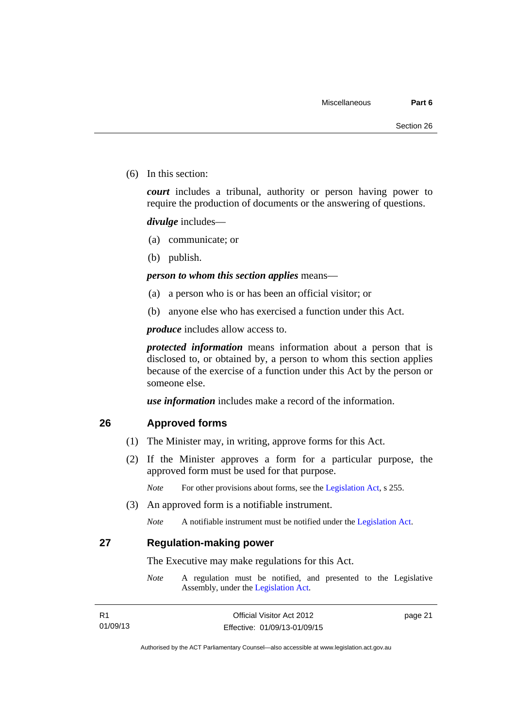(6) In this section:

*court* includes a tribunal, authority or person having power to require the production of documents or the answering of questions.

*divulge* includes—

- (a) communicate; or
- (b) publish.

#### *person to whom this section applies* means—

- (a) a person who is or has been an official visitor; or
- (b) anyone else who has exercised a function under this Act.

*produce* includes allow access to.

*protected information* means information about a person that is disclosed to, or obtained by, a person to whom this section applies because of the exercise of a function under this Act by the person or someone else.

*use information* includes make a record of the information.

#### <span id="page-26-0"></span>**26 Approved forms**

- (1) The Minister may, in writing, approve forms for this Act.
- (2) If the Minister approves a form for a particular purpose, the approved form must be used for that purpose.

*Note* For other provisions about forms, see the [Legislation Act,](http://www.legislation.act.gov.au/a/2001-14) s 255.

(3) An approved form is a notifiable instrument.

*Note* A notifiable instrument must be notified under the [Legislation Act](http://www.legislation.act.gov.au/a/2001-14).

<span id="page-26-1"></span>**27 Regulation-making power** 

The Executive may make regulations for this Act.

*Note* A regulation must be notified, and presented to the Legislative Assembly, under the [Legislation Act](http://www.legislation.act.gov.au/a/2001-14).

| R1       |
|----------|
| 01/09/13 |

page 21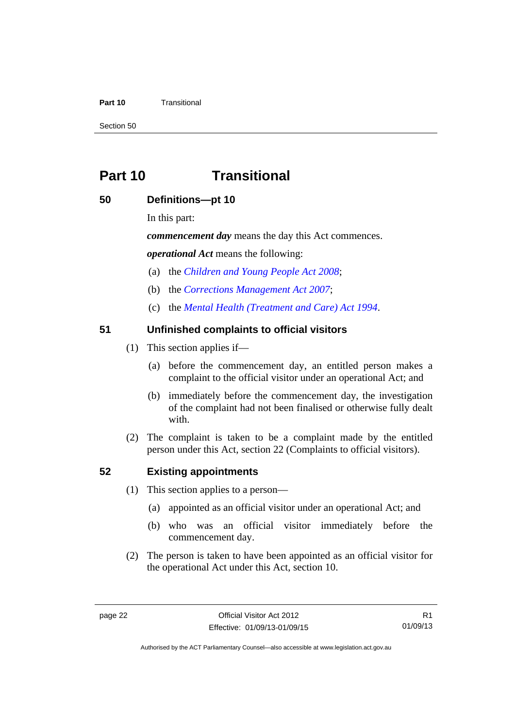#### **Part 10** Transitional

Section 50

## <span id="page-27-0"></span>**Part 10 Transitional**

## <span id="page-27-1"></span>**50 Definitions—pt 10**

In this part:

*commencement day* means the day this Act commences.

*operational Act* means the following:

- (a) the *[Children and Young People Act 2008](http://www.legislation.act.gov.au/a/2008-19)*;
- (b) the *[Corrections Management Act 2007](http://www.legislation.act.gov.au/a/2007-15)*;
- (c) the *[Mental Health \(Treatment and Care\) Act 1994](http://www.legislation.act.gov.au/a/1994-44)*.

### <span id="page-27-2"></span>**51 Unfinished complaints to official visitors**

- (1) This section applies if—
	- (a) before the commencement day, an entitled person makes a complaint to the official visitor under an operational Act; and
	- (b) immediately before the commencement day, the investigation of the complaint had not been finalised or otherwise fully dealt with.
- (2) The complaint is taken to be a complaint made by the entitled person under this Act, section 22 (Complaints to official visitors).

#### <span id="page-27-3"></span>**52 Existing appointments**

- (1) This section applies to a person—
	- (a) appointed as an official visitor under an operational Act; and
	- (b) who was an official visitor immediately before the commencement day.
- (2) The person is taken to have been appointed as an official visitor for the operational Act under this Act, section 10.

R1 01/09/13

Authorised by the ACT Parliamentary Counsel—also accessible at www.legislation.act.gov.au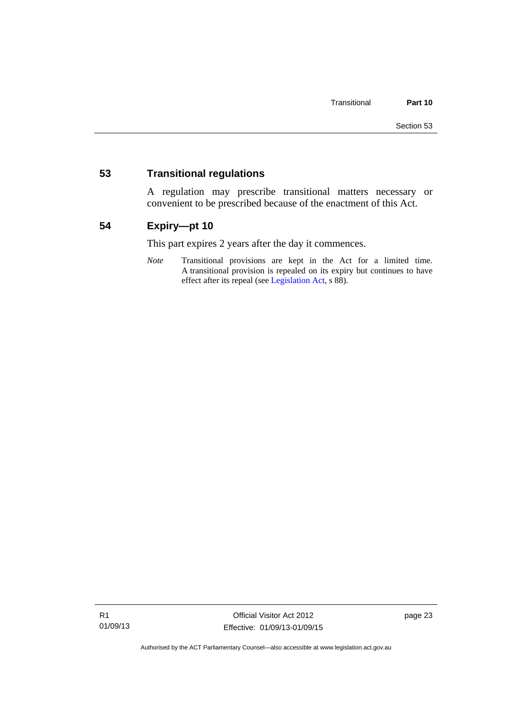### <span id="page-28-0"></span>**53 Transitional regulations**

A regulation may prescribe transitional matters necessary or convenient to be prescribed because of the enactment of this Act.

## <span id="page-28-1"></span>**54 Expiry—pt 10**

This part expires 2 years after the day it commences.

*Note* Transitional provisions are kept in the Act for a limited time. A transitional provision is repealed on its expiry but continues to have effect after its repeal (see [Legislation Act,](http://www.legislation.act.gov.au/a/2001-14) s 88).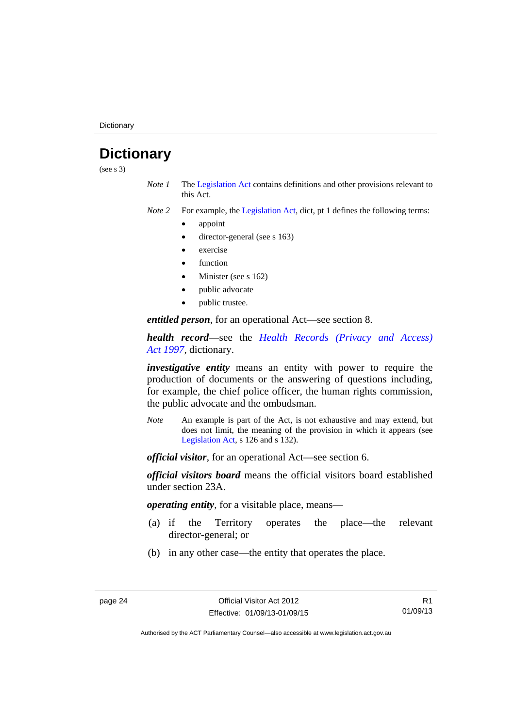**Dictionary** 

## <span id="page-29-0"></span>**Dictionary**

(see s 3)

*Note 1* The [Legislation Act](http://www.legislation.act.gov.au/a/2001-14) contains definitions and other provisions relevant to this Act.

*Note 2* For example, the [Legislation Act,](http://www.legislation.act.gov.au/a/2001-14) dict, pt 1 defines the following terms:

- appoint
- director-general (see s 163)
- exercise
- function
- Minister (see s 162)
- public advocate
- public trustee.

*entitled person*, for an operational Act—see section 8.

*health record*—see the *[Health Records \(Privacy and Access\)](http://www.legislation.act.gov.au/a/1997-125)  [Act 1997](http://www.legislation.act.gov.au/a/1997-125)*, dictionary.

*investigative entity* means an entity with power to require the production of documents or the answering of questions including, for example, the chief police officer, the human rights commission, the public advocate and the ombudsman.

*Note* An example is part of the Act, is not exhaustive and may extend, but does not limit, the meaning of the provision in which it appears (see [Legislation Act,](http://www.legislation.act.gov.au/a/2001-14) s 126 and s 132).

*official visitor*, for an operational Act—see section 6.

*official visitors board* means the official visitors board established under section 23A.

*operating entity*, for a visitable place, means—

- (a) if the Territory operates the place—the relevant director-general; or
- (b) in any other case—the entity that operates the place.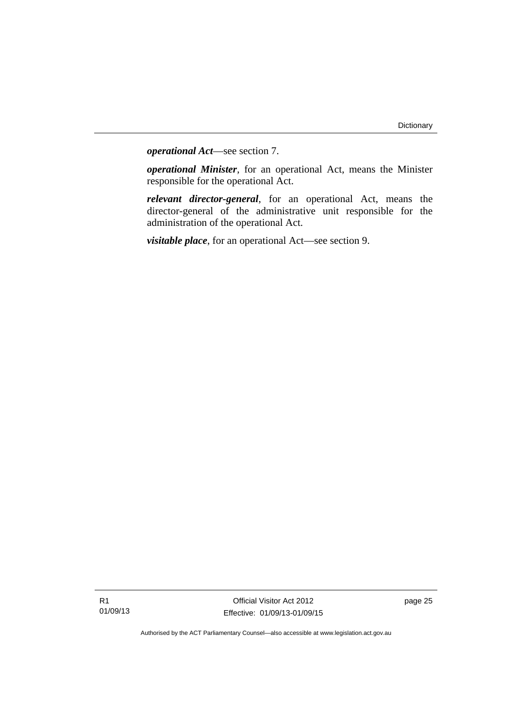*operational Act*—see section 7.

*operational Minister*, for an operational Act, means the Minister responsible for the operational Act.

*relevant director-general*, for an operational Act, means the director-general of the administrative unit responsible for the administration of the operational Act.

*visitable place*, for an operational Act—see section 9.

R1 01/09/13

Official Visitor Act 2012 Effective: 01/09/13-01/09/15 page 25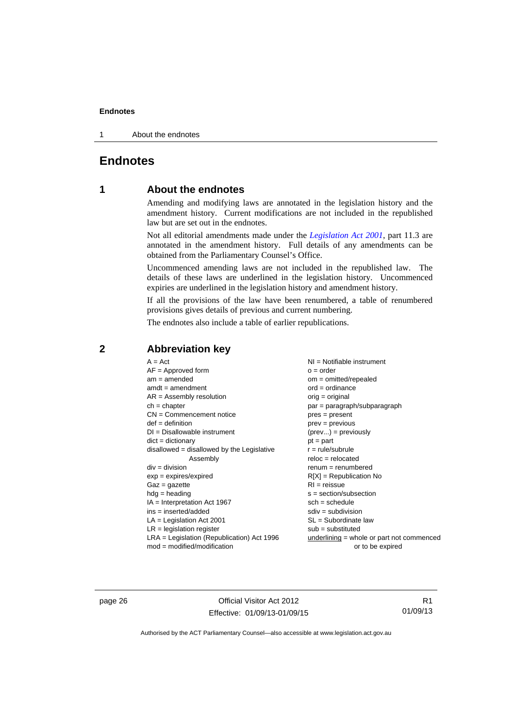1 About the endnotes

## <span id="page-31-0"></span>**Endnotes**

### **1 About the endnotes**

Amending and modifying laws are annotated in the legislation history and the amendment history. Current modifications are not included in the republished law but are set out in the endnotes.

Not all editorial amendments made under the *[Legislation Act 2001](http://www.legislation.act.gov.au/a/2001-14)*, part 11.3 are annotated in the amendment history. Full details of any amendments can be obtained from the Parliamentary Counsel's Office.

Uncommenced amending laws are not included in the republished law. The details of these laws are underlined in the legislation history. Uncommenced expiries are underlined in the legislation history and amendment history.

If all the provisions of the law have been renumbered, a table of renumbered provisions gives details of previous and current numbering.

The endnotes also include a table of earlier republications.

| $A = Act$                                    | NI = Notifiable instrument                  |
|----------------------------------------------|---------------------------------------------|
| $AF =$ Approved form                         | $o = order$                                 |
| $am = amended$                               | $om = omitted/repealed$                     |
| $amdt = amendment$                           | $ord = ordinance$                           |
| $AR = Assembly resolution$                   | $orig = original$                           |
| $ch = chapter$                               | $par = paragraph/subparagraph$              |
| $CN =$ Commencement notice                   | $pres = present$                            |
| $def = definition$                           | $prev = previous$                           |
| $DI = Disallowable instrument$               | $(\text{prev}) = \text{previously}$         |
| $dict = dictionary$                          | $pt = part$                                 |
| $disallowed = disallowed by the Legislative$ | $r = rule/subrule$                          |
| Assembly                                     | $reloc = relocated$                         |
| $div = division$                             | $renum = renumbered$                        |
| $exp = expires/expired$                      | $R[X]$ = Republication No                   |
| $Gaz = gazette$                              | $RI = reissue$                              |
| $hdg = heading$                              | $s = section/subsection$                    |
| $IA = Interpretation Act 1967$               | $sch = schedule$                            |
| ins = inserted/added                         | $sdiv = subdivision$                        |
| $LA =$ Legislation Act 2001                  | $SL = Subordinate$ law                      |
| $LR =$ legislation register                  | $sub =$ substituted                         |
| LRA = Legislation (Republication) Act 1996   | underlining $=$ whole or part not commenced |
| $mod = modified/modification$                | or to be expired                            |

#### <span id="page-31-2"></span>**2 Abbreviation key**

page 26 Official Visitor Act 2012 Effective: 01/09/13-01/09/15

R1 01/09/13

<span id="page-31-1"></span>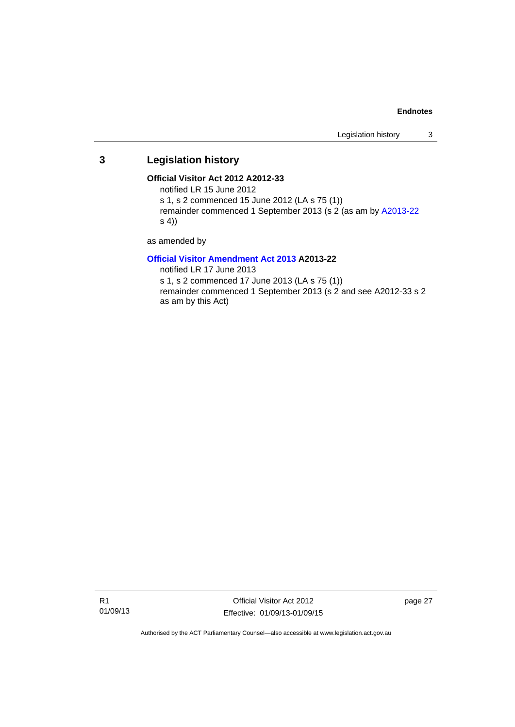## <span id="page-32-0"></span>**3 Legislation history**

#### **Official Visitor Act 2012 A2012-33**

notified LR 15 June 2012

s 1, s 2 commenced 15 June 2012 (LA s 75 (1))

remainder commenced 1 September 2013 (s 2 (as am by [A2013-22](http://www.legislation.act.gov.au/a/2013-22/default.asp) s 4))

as amended by

#### **[Official Visitor Amendment Act 2013](http://www.legislation.act.gov.au/a/2013-22/default.asp) A2013-22**

notified LR 17 June 2013

s 1, s 2 commenced 17 June 2013 (LA s 75 (1)) remainder commenced 1 September 2013 (s 2 and see A2012-33 s 2 as am by this Act)

R1 01/09/13

Official Visitor Act 2012 Effective: 01/09/13-01/09/15 page 27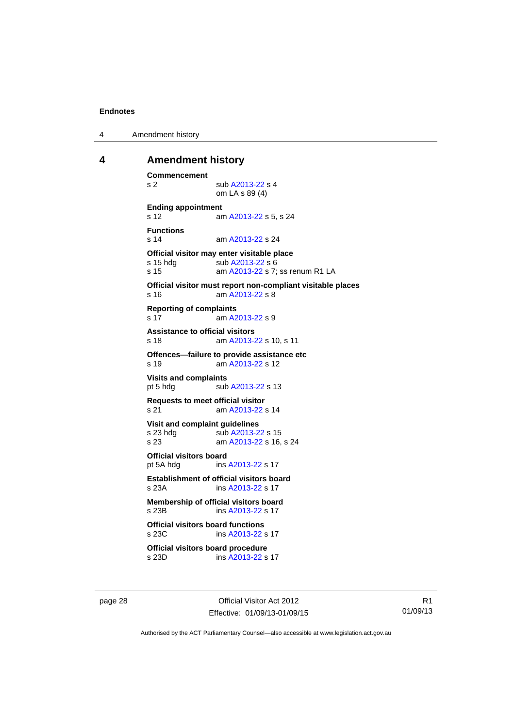4 Amendment history

#### <span id="page-33-0"></span>**4 Amendment history**

```
Commencement 
A2013-22 s 4
                om LA s 89 (4) 
Ending appointment 
s 12 am A2013-22 s 5, s 24 
Functions 
s 14 am A2013-22 s 24 
Official visitor may enter visitable place 
A2013-22 s 6
s 15  A2013-22 s 7; ss renum R1 LA
Official visitor must report non-compliant visitable places 
s 16 am A2013-22 s 8 
Reporting of complaints 
s 17 am A2013-22 s 9 
Assistance to official visitors 
s 18 am A2013-22 s 10, s 11 
Offences—failure to provide assistance etc 
s 19 am A2013-22 s 12 
Visits and complaints 
A2013-22 s 13
Requests to meet official visitor 
s 21 am A2013-22 s 14 
Visit and complaint guidelines 
A2013-22 s 15<br>s 23 am A2013-22 s 16.
                 A2013-22 s 16, s 24
Official visitors board 
pt 5A hdg ins A2013-22 s 17 
Establishment of official visitors board<br>s 23A ins A2013-22 s 17
                A2013-22 s 17
Membership of official visitors board 
s 23B ins A2013-22 s 17 
Official visitors board functions<br>s 23C ins A2013-22 s
                A2013-22 s 17
Official visitors board procedure 
s 23D ins A2013-22 s 17
```
page 28 Official Visitor Act 2012 Effective: 01/09/13-01/09/15

R1 01/09/13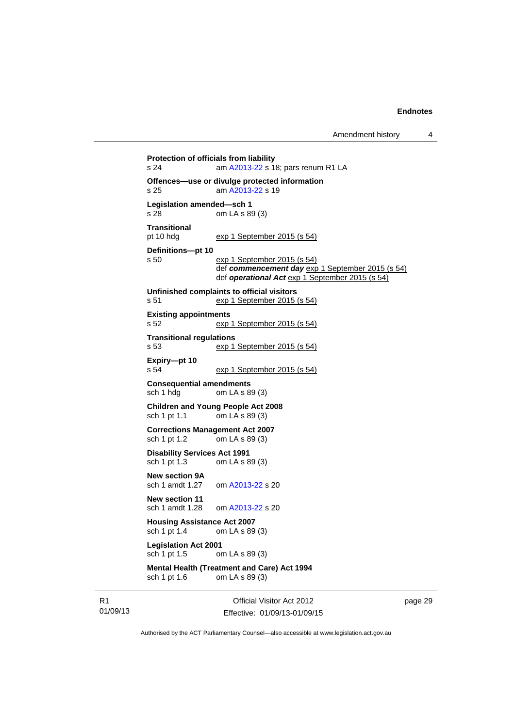**Protection of officials from liability**  s 24 am [A2013-22](http://www.legislation.act.gov.au/a/2013-22/default.asp) s 18; pars renum R1 LA **Offences—use or divulge protected information**  s 25 am [A2013-22](http://www.legislation.act.gov.au/a/2013-22/default.asp) s 19 **Legislation amended—sch 1**  s 28 om LA s 89 (3) **Transitional**  pt 10 hdg exp 1 September 2015 (s 54) **Definitions—pt 10**  s 50 exp 1 September 2015 (s 54) def *commencement day* exp 1 September 2015 (s 54) def *operational Act* exp 1 September 2015 (s 54) **Unfinished complaints to official visitors**  s 51 exp 1 September 2015 (s 54) **Existing appointments**  s 52 exp 1 September 2015 (s 54) **Transitional regulations**  s 53 exp 1 September 2015 (s 54) **Expiry—pt 10**  s 54 exp 1 September 2015 (s 54) **Consequential amendments**<br>sch 1 hdg om LA s 8 om LA s 89 (3) **Children and Young People Act 2008**  sch 1 pt 1.1 om LA s 89 (3) **Corrections Management Act 2007**  om LA s  $89(3)$ **Disability Services Act 1991**  sch 1 pt 1.3 om LA s 89 (3) **New section 9A**  sch 1 amdt 1.27 om [A2013-22](http://www.legislation.act.gov.au/a/2013-22/default.asp) s 20 **New section 11**  sch 1 amdt 1.28 om [A2013-22](http://www.legislation.act.gov.au/a/2013-22/default.asp) s 20 **Housing Assistance Act 2007**<br>sch 1 pt 1.4 om LA s 89 om LA s 89 (3) **Legislation Act 2001**  sch 1 pt 1.5 om LA s 89 (3)

#### **Mental Health (Treatment and Care) Act 1994**  sch 1 pt 1.6 om LA s 89 (3)

R1 01/09/13

Official Visitor Act 2012 Effective: 01/09/13-01/09/15 page 29